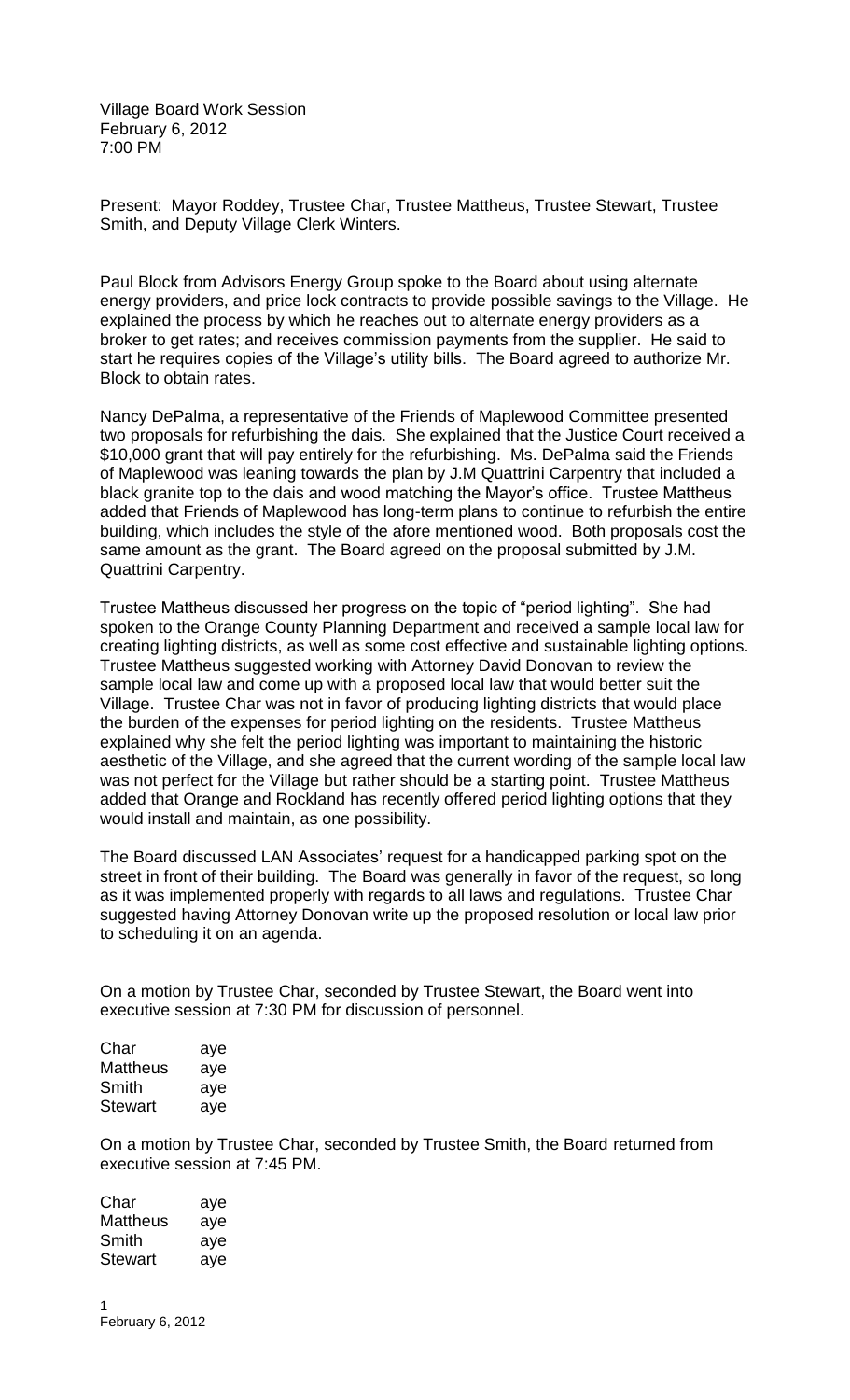Village Board Work Session February 6, 2012 7:00 PM

Present: Mayor Roddey, Trustee Char, Trustee Mattheus, Trustee Stewart, Trustee Smith, and Deputy Village Clerk Winters.

Paul Block from Advisors Energy Group spoke to the Board about using alternate energy providers, and price lock contracts to provide possible savings to the Village. He explained the process by which he reaches out to alternate energy providers as a broker to get rates; and receives commission payments from the supplier. He said to start he requires copies of the Village's utility bills. The Board agreed to authorize Mr. Block to obtain rates.

Nancy DePalma, a representative of the Friends of Maplewood Committee presented two proposals for refurbishing the dais. She explained that the Justice Court received a \$10,000 grant that will pay entirely for the refurbishing. Ms. DePalma said the Friends of Maplewood was leaning towards the plan by J.M Quattrini Carpentry that included a black granite top to the dais and wood matching the Mayor's office. Trustee Mattheus added that Friends of Maplewood has long-term plans to continue to refurbish the entire building, which includes the style of the afore mentioned wood. Both proposals cost the same amount as the grant. The Board agreed on the proposal submitted by J.M. Quattrini Carpentry.

Trustee Mattheus discussed her progress on the topic of "period lighting". She had spoken to the Orange County Planning Department and received a sample local law for creating lighting districts, as well as some cost effective and sustainable lighting options. Trustee Mattheus suggested working with Attorney David Donovan to review the sample local law and come up with a proposed local law that would better suit the Village. Trustee Char was not in favor of producing lighting districts that would place the burden of the expenses for period lighting on the residents. Trustee Mattheus explained why she felt the period lighting was important to maintaining the historic aesthetic of the Village, and she agreed that the current wording of the sample local law was not perfect for the Village but rather should be a starting point. Trustee Mattheus added that Orange and Rockland has recently offered period lighting options that they would install and maintain, as one possibility.

The Board discussed LAN Associates' request for a handicapped parking spot on the street in front of their building. The Board was generally in favor of the request, so long as it was implemented properly with regards to all laws and regulations. Trustee Char suggested having Attorney Donovan write up the proposed resolution or local law prior to scheduling it on an agenda.

On a motion by Trustee Char, seconded by Trustee Stewart, the Board went into executive session at 7:30 PM for discussion of personnel.

| Char     | aye |
|----------|-----|
| Mattheus | aye |
| Smith    | aye |
| Stewart  | aye |

On a motion by Trustee Char, seconded by Trustee Smith, the Board returned from executive session at 7:45 PM.

Char aye Mattheus aye Smith aye Stewart aye